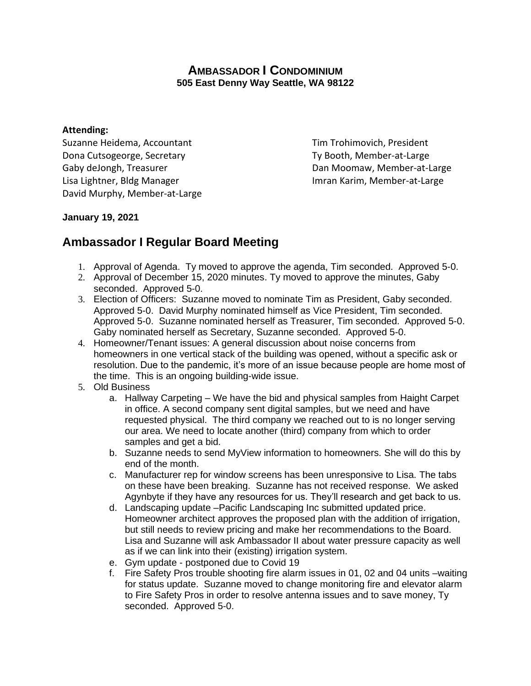## **AMBASSADOR I CONDOMINIUM 505 East Denny Way Seattle, WA 98122**

## **Attending:**

Suzanne Heidema, Accountant Tim Trohimovich, President Dona Cutsogeorge, Secretary The Controller Controller Ty Booth, Member-at-Large Gaby deJongh, Treasurer **Dan Moomaw, Member-at-Large** Lisa Lightner, Bldg Manager **Imran Karim, Member-at-Large** David Murphy, Member-at-Large

## **January 19, 2021**

## **Ambassador I Regular Board Meeting**

- 1. Approval of Agenda. Ty moved to approve the agenda, Tim seconded. Approved 5-0.
- 2. Approval of December 15, 2020 minutes. Ty moved to approve the minutes, Gaby seconded. Approved 5-0.
- 3. Election of Officers: Suzanne moved to nominate Tim as President, Gaby seconded. Approved 5-0. David Murphy nominated himself as Vice President, Tim seconded. Approved 5-0. Suzanne nominated herself as Treasurer, Tim seconded. Approved 5-0. Gaby nominated herself as Secretary, Suzanne seconded. Approved 5-0.
- 4. Homeowner/Tenant issues: A general discussion about noise concerns from homeowners in one vertical stack of the building was opened, without a specific ask or resolution. Due to the pandemic, it's more of an issue because people are home most of the time. This is an ongoing building-wide issue.
- 5. Old Business
	- a. Hallway Carpeting We have the bid and physical samples from Haight Carpet in office. A second company sent digital samples, but we need and have requested physical. The third company we reached out to is no longer serving our area. We need to locate another (third) company from which to order samples and get a bid.
	- b. Suzanne needs to send MyView information to homeowners. She will do this by end of the month.
	- c. Manufacturer rep for window screens has been unresponsive to Lisa. The tabs on these have been breaking. Suzanne has not received response. We asked Agynbyte if they have any resources for us. They'll research and get back to us.
	- d. Landscaping update –Pacific Landscaping Inc submitted updated price. Homeowner architect approves the proposed plan with the addition of irrigation, but still needs to review pricing and make her recommendations to the Board. Lisa and Suzanne will ask Ambassador II about water pressure capacity as well as if we can link into their (existing) irrigation system.
	- e. Gym update postponed due to Covid 19
	- f. Fire Safety Pros trouble shooting fire alarm issues in 01, 02 and 04 units –waiting for status update. Suzanne moved to change monitoring fire and elevator alarm to Fire Safety Pros in order to resolve antenna issues and to save money, Ty seconded. Approved 5-0.